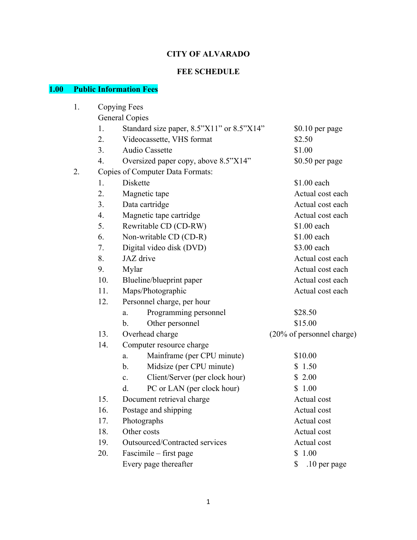# **CITY OF ALVARADO**

# **FEE SCHEDULE**

# **1.00 Public Information Fees**

| 1. | Copying Fees          |                                                  |                           |  |  |  |
|----|-----------------------|--------------------------------------------------|---------------------------|--|--|--|
|    | <b>General Copies</b> |                                                  |                           |  |  |  |
|    | 1.                    | Standard size paper, 8.5"X11" or 8.5"X14"        | \$0.10 per page           |  |  |  |
|    | 2.                    | Videocassette, VHS format                        | \$2.50                    |  |  |  |
|    | 3.                    | Audio Cassette                                   | \$1.00                    |  |  |  |
|    | 4.                    | Oversized paper copy, above 8.5"X14"             | \$0.50 per page           |  |  |  |
| 2. |                       | Copies of Computer Data Formats:                 |                           |  |  |  |
|    | 1.                    | Diskette                                         | \$1.00 each               |  |  |  |
|    | 2.                    | Magnetic tape                                    | Actual cost each          |  |  |  |
|    | 3.                    | Data cartridge                                   | Actual cost each          |  |  |  |
|    | 4.                    | Magnetic tape cartridge                          | Actual cost each          |  |  |  |
|    | 5.                    | Rewritable CD (CD-RW)                            | \$1.00 each               |  |  |  |
|    | 6.                    | Non-writable CD (CD-R)                           | \$1.00 each               |  |  |  |
|    | 7.                    | Digital video disk (DVD)                         | \$3.00 each               |  |  |  |
|    | 8.                    | JAZ drive                                        | Actual cost each          |  |  |  |
|    | 9.                    | Mylar                                            | Actual cost each          |  |  |  |
|    | 10.                   | Blueline/blueprint paper                         | Actual cost each          |  |  |  |
|    | 11.                   | Maps/Photographic                                | Actual cost each          |  |  |  |
|    | 12.                   | Personnel charge, per hour                       |                           |  |  |  |
|    |                       | Programming personnel<br>a.                      | \$28.50                   |  |  |  |
|    |                       | Other personnel<br>b.                            | \$15.00                   |  |  |  |
|    | 13.                   | Overhead charge                                  | (20% of personnel charge) |  |  |  |
|    | 14.                   | Computer resource charge                         |                           |  |  |  |
|    |                       | Mainframe (per CPU minute)<br>a.                 | \$10.00                   |  |  |  |
|    |                       | Midsize (per CPU minute)<br>b.                   | \$1.50                    |  |  |  |
|    |                       | Client/Server (per clock hour)<br>$\mathbf{c}$ . | \$2.00                    |  |  |  |
|    |                       | PC or LAN (per clock hour)<br>d.                 | \$1.00                    |  |  |  |
|    | 15.                   | Document retrieval charge                        | Actual cost               |  |  |  |
|    | 16.                   | Postage and shipping                             | Actual cost               |  |  |  |
|    | 17.                   | Photographs                                      | Actual cost               |  |  |  |
|    | 18.                   | Other costs                                      | Actual cost               |  |  |  |
|    | 19.                   | Outsourced/Contracted services                   | Actual cost               |  |  |  |
|    | 20.                   | Fascimile – first page                           | \$1.00                    |  |  |  |
|    |                       | Every page thereafter                            | .10 per page<br>\$        |  |  |  |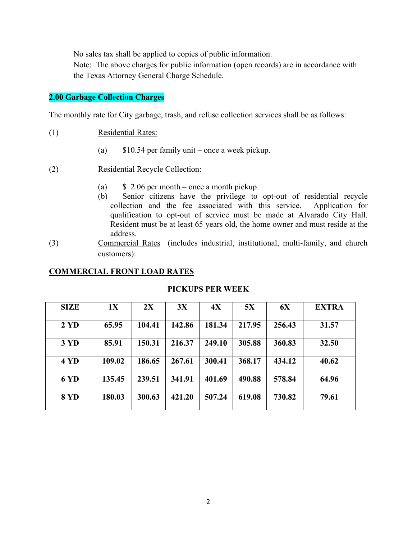No sales tax shall be applied to copies of public information.

 Note: The above charges for public information (open records) are in accordance with the Texas Attorney General Charge Schedule.

### **2.00 Garbage Collection Charges**

The monthly rate for City garbage, trash, and refuse collection services shall be as follows:

- (1) Residential Rates:
	- (a) \$10.54 per family unit once a week pickup.
- (2) Residential Recycle Collection:
	- (a)  $\frac{1}{2}$  2.06 per month once a month pickup
	- (b) Senior citizens have the privilege to opt-out of residential recycle collection and the fee associated with this service. Application for qualification to opt-out of service must be made at Alvarado City Hall. Resident must be at least 65 years old, the home owner and must reside at the address.
- (3) Commercial Rates (includes industrial, institutional, multi-family, and church customers):

### **COMMERCIAL FRONT LOAD RATES**

| <b>SIZE</b>    | 1X     | 2X     | 3X     | 4X     | 5X     | 6X     | <b>EXTRA</b> |
|----------------|--------|--------|--------|--------|--------|--------|--------------|
| $2 \text{ YD}$ | 65.95  | 104.41 | 142.86 | 181.34 | 217.95 | 256.43 | 31.57        |
| 3 YD           | 85.91  | 150.31 | 216.37 | 249.10 | 305.88 | 360.83 | 32.50        |
| 4 YD           | 109.02 | 186.65 | 267.61 | 300.41 | 368.17 | 434.12 | 40.62        |
| 6 YD           | 135.45 | 239.51 | 341.91 | 401.69 | 490.88 | 578.84 | 64.96        |
| <b>8 YD</b>    | 180.03 | 300.63 | 421.20 | 507.24 | 619.08 | 730.82 | 79.61        |

### **PICKUPS PER WEEK**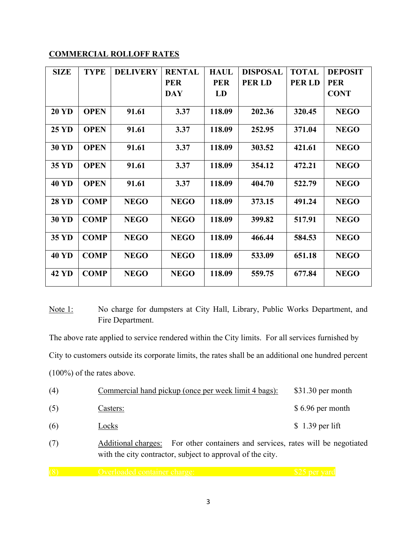### **COMMERCIAL ROLLOFF RATES**

| <b>SIZE</b>  | <b>TYPE</b> | <b>DELIVERY</b> | <b>RENTAL</b> | <b>HAUL</b> | <b>DISPOSAL</b> | <b>TOTAL</b> | <b>DEPOSIT</b> |
|--------------|-------------|-----------------|---------------|-------------|-----------------|--------------|----------------|
|              |             |                 | <b>PER</b>    | <b>PER</b>  | <b>PERLD</b>    | <b>PERLD</b> | <b>PER</b>     |
|              |             |                 | <b>DAY</b>    | LD          |                 |              | <b>CONT</b>    |
|              |             |                 |               |             |                 |              |                |
| <b>20 YD</b> | <b>OPEN</b> | 91.61           | 3.37          | 118.09      | 202.36          | 320.45       | <b>NEGO</b>    |
| <b>25 YD</b> | <b>OPEN</b> | 91.61           | 3.37          | 118.09      | 252.95          | 371.04       | <b>NEGO</b>    |
| <b>30 YD</b> | <b>OPEN</b> | 91.61           | 3.37          | 118.09      | 303.52          | 421.61       | <b>NEGO</b>    |
| 35 YD        | <b>OPEN</b> | 91.61           | 3.37          | 118.09      | 354.12          | 472.21       | <b>NEGO</b>    |
| <b>40 YD</b> | <b>OPEN</b> | 91.61           | 3.37          | 118.09      | 404.70          | 522.79       | <b>NEGO</b>    |
| <b>28 YD</b> | <b>COMP</b> | <b>NEGO</b>     | <b>NEGO</b>   | 118.09      | 373.15          | 491.24       | <b>NEGO</b>    |
| <b>30 YD</b> | <b>COMP</b> | <b>NEGO</b>     | <b>NEGO</b>   | 118.09      | 399.82          | 517.91       | <b>NEGO</b>    |
| 35 YD        | <b>COMP</b> | <b>NEGO</b>     | <b>NEGO</b>   | 118.09      | 466.44          | 584.53       | <b>NEGO</b>    |
| <b>40 YD</b> | <b>COMP</b> | <b>NEGO</b>     | <b>NEGO</b>   | 118.09      | 533.09          | 651.18       | <b>NEGO</b>    |
| 42 YD        | <b>COMP</b> | <b>NEGO</b>     | <b>NEGO</b>   | 118.09      | 559.75          | 677.84       | <b>NEGO</b>    |

Note 1: No charge for dumpsters at City Hall, Library, Public Works Department, and Fire Department.

The above rate applied to service rendered within the City limits. For all services furnished by City to customers outside its corporate limits, the rates shall be an additional one hundred percent (100%) of the rates above.

| (4) |                     | Commercial hand pickup (once per week limit 4 bags):     | $$31.30$ per month |
|-----|---------------------|----------------------------------------------------------|--------------------|
| (5) | Casters:            |                                                          | \$6.96 per month   |
| (6) | Locks               |                                                          | $$1.39$ per lift   |
| (7) | Additional charges: | For other containers and services rates will be negotial |                    |

(7) Additional charges: For other containers and services, rates will be negotiated with the city contractor, subject to approval of the city.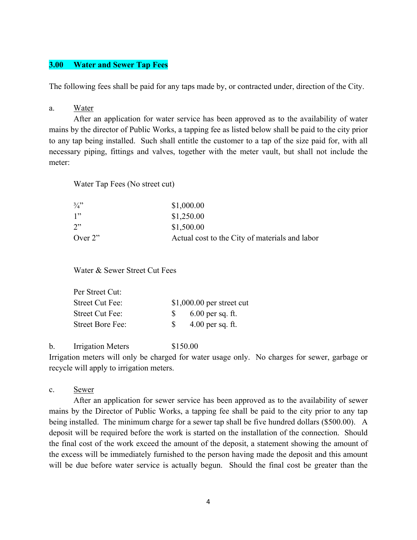### **3.00 Water and Sewer Tap Fees**

The following fees shall be paid for any taps made by, or contracted under, direction of the City.

#### a. Water

 After an application for water service has been approved as to the availability of water mains by the director of Public Works, a tapping fee as listed below shall be paid to the city prior to any tap being installed. Such shall entitle the customer to a tap of the size paid for, with all necessary piping, fittings and valves, together with the meter vault, but shall not include the meter:

Water Tap Fees (No street cut)

| $\frac{3}{4}$ | \$1,000.00                                     |
|---------------|------------------------------------------------|
| 1"            | \$1,250.00                                     |
| 2"            | \$1,500.00                                     |
| Over $2$ "    | Actual cost to the City of materials and labor |

Water & Sewer Street Cut Fees

| Per Street Cut:  |                            |
|------------------|----------------------------|
| Street Cut Fee:  | $$1,000.00$ per street cut |
| Street Cut Fee:  | $6.00$ per sq. ft.<br>S.   |
| Street Bore Fee: | $4.00$ per sq. ft.<br>-SS  |

b. Irrigation Meters \$150.00

Irrigation meters will only be charged for water usage only. No charges for sewer, garbage or recycle will apply to irrigation meters.

### c. Sewer

 After an application for sewer service has been approved as to the availability of sewer mains by the Director of Public Works, a tapping fee shall be paid to the city prior to any tap being installed. The minimum charge for a sewer tap shall be five hundred dollars (\$500.00). A deposit will be required before the work is started on the installation of the connection. Should the final cost of the work exceed the amount of the deposit, a statement showing the amount of the excess will be immediately furnished to the person having made the deposit and this amount will be due before water service is actually begun. Should the final cost be greater than the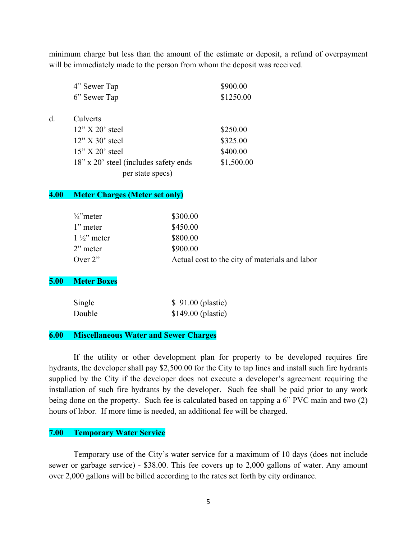minimum charge but less than the amount of the estimate or deposit, a refund of overpayment will be immediately made to the person from whom the deposit was received.

|    | 4" Sewer Tap                          | \$900.00   |
|----|---------------------------------------|------------|
|    | 6" Sewer Tap                          | \$1250.00  |
| d. | Culverts                              |            |
|    | $12"$ X 20' steel                     | \$250.00   |
|    | $12"$ X 30' steel                     | \$325.00   |
|    | $15"$ X 20' steel                     | \$400.00   |
|    | 18" x 20" steel (includes safety ends | \$1,500.00 |
|    | per state specs)                      |            |

#### **4.00 Meter Charges (Meter set only)**

| $\frac{3}{4}$ meter  | \$300.00                                       |
|----------------------|------------------------------------------------|
| 1" meter             | \$450.00                                       |
| $1\frac{1}{2}$ meter | \$800.00                                       |
| $2$ " meter          | \$900.00                                       |
| Over $2$ "           | Actual cost to the city of materials and labor |

### **5.00 Meter Boxes**

 $d$ .

| Single | \$91.00 (plastic)   |
|--------|---------------------|
| Double | $$149.00$ (plastic) |

#### **6.00 Miscellaneous Water and Sewer Charges**

 If the utility or other development plan for property to be developed requires fire hydrants, the developer shall pay \$2,500.00 for the City to tap lines and install such fire hydrants supplied by the City if the developer does not execute a developer's agreement requiring the installation of such fire hydrants by the developer. Such fee shall be paid prior to any work being done on the property. Such fee is calculated based on tapping a 6" PVC main and two (2) hours of labor. If more time is needed, an additional fee will be charged.

### **7.00 Temporary Water Service**

 Temporary use of the City's water service for a maximum of 10 days (does not include sewer or garbage service) - \$38.00. This fee covers up to 2,000 gallons of water. Any amount over 2,000 gallons will be billed according to the rates set forth by city ordinance.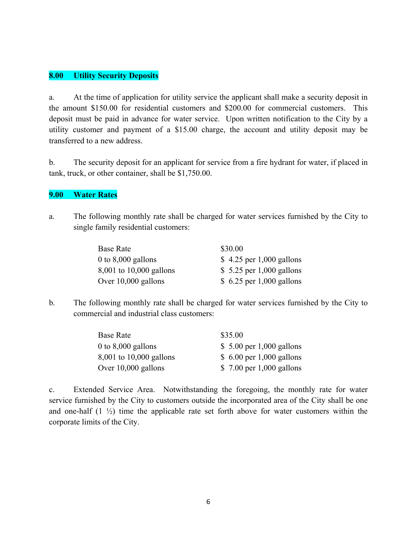### **8.00 Utility Security Deposits**

a. At the time of application for utility service the applicant shall make a security deposit in the amount \$150.00 for residential customers and \$200.00 for commercial customers. This deposit must be paid in advance for water service. Upon written notification to the City by a utility customer and payment of a \$15.00 charge, the account and utility deposit may be transferred to a new address.

b. The security deposit for an applicant for service from a fire hydrant for water, if placed in tank, truck, or other container, shall be \$1,750.00.

### **9.00 Water Rates**

a. The following monthly rate shall be charged for water services furnished by the City to single family residential customers:

| Base Rate               | \$30.00                   |
|-------------------------|---------------------------|
| 0 to $8,000$ gallons    | $$4.25$ per 1,000 gallons |
| 8,001 to 10,000 gallons | $$5.25$ per 1,000 gallons |
| Over $10,000$ gallons   | \$ 6.25 per 1,000 gallons |

b. The following monthly rate shall be charged for water services furnished by the City to commercial and industrial class customers:

| Base Rate               | \$35.00                   |
|-------------------------|---------------------------|
| 0 to $8,000$ gallons    | \$ 5.00 per 1,000 gallons |
| 8,001 to 10,000 gallons | \$ 6.00 per 1,000 gallons |
| Over $10,000$ gallons   | \$ 7.00 per 1,000 gallons |

c. Extended Service Area. Notwithstanding the foregoing, the monthly rate for water service furnished by the City to customers outside the incorporated area of the City shall be one and one-half  $(1 \frac{1}{2})$  time the applicable rate set forth above for water customers within the corporate limits of the City.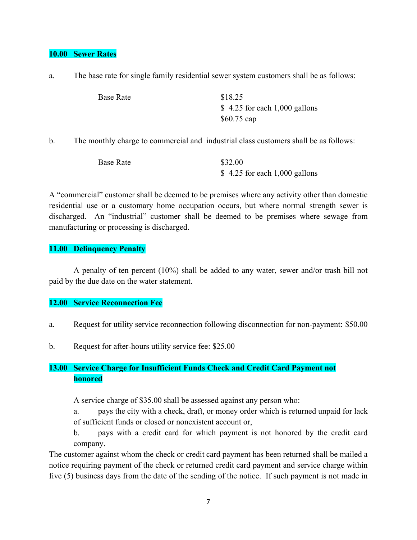### **10.00 Sewer Rates**

|  | The base rate for single family residential sewer system customers shall be as follows: |  |  |
|--|-----------------------------------------------------------------------------------------|--|--|
|  |                                                                                         |  |  |

| Base Rate | \$18.25                        |
|-----------|--------------------------------|
|           | $$4.25$ for each 1,000 gallons |
|           | $$60.75$ cap                   |

b. The monthly charge to commercial and industrial class customers shall be as follows:

| <b>Base Rate</b> | \$32.00                        |
|------------------|--------------------------------|
|                  | $$4.25$ for each 1,000 gallons |

A "commercial" customer shall be deemed to be premises where any activity other than domestic residential use or a customary home occupation occurs, but where normal strength sewer is discharged. An "industrial" customer shall be deemed to be premises where sewage from manufacturing or processing is discharged.

### **11.00 Delinquency Penalty**

 A penalty of ten percent (10%) shall be added to any water, sewer and/or trash bill not paid by the due date on the water statement.

### **12.00 Service Reconnection Fee**

- a. Request for utility service reconnection following disconnection for non-payment: \$50.00
- b. Request for after-hours utility service fee: \$25.00

# **13.00 Service Charge for Insufficient Funds Check and Credit Card Payment not honored**

A service charge of \$35.00 shall be assessed against any person who:

 a. pays the city with a check, draft, or money order which is returned unpaid for lack of sufficient funds or closed or nonexistent account or,

 b. pays with a credit card for which payment is not honored by the credit card company.

The customer against whom the check or credit card payment has been returned shall be mailed a notice requiring payment of the check or returned credit card payment and service charge within five (5) business days from the date of the sending of the notice. If such payment is not made in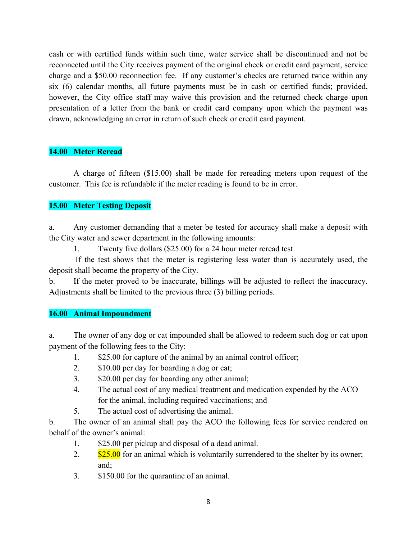cash or with certified funds within such time, water service shall be discontinued and not be reconnected until the City receives payment of the original check or credit card payment, service charge and a \$50.00 reconnection fee. If any customer's checks are returned twice within any six (6) calendar months, all future payments must be in cash or certified funds; provided, however, the City office staff may waive this provision and the returned check charge upon presentation of a letter from the bank or credit card company upon which the payment was drawn, acknowledging an error in return of such check or credit card payment.

### **14.00 Meter Reread**

 A charge of fifteen (\$15.00) shall be made for rereading meters upon request of the customer. This fee is refundable if the meter reading is found to be in error.

# **15.00 Meter Testing Deposit**

a. Any customer demanding that a meter be tested for accuracy shall make a deposit with the City water and sewer department in the following amounts:

1. Twenty five dollars (\$25.00) for a 24 hour meter reread test

 If the test shows that the meter is registering less water than is accurately used, the deposit shall become the property of the City.

b. If the meter proved to be inaccurate, billings will be adjusted to reflect the inaccuracy. Adjustments shall be limited to the previous three (3) billing periods.

### **16.00 Animal Impoundment**

a. The owner of any dog or cat impounded shall be allowed to redeem such dog or cat upon payment of the following fees to the City:

- 1. \$25.00 for capture of the animal by an animal control officer;
- 2. \$10.00 per day for boarding a dog or cat;
- 3. \$20.00 per day for boarding any other animal;
- 4. The actual cost of any medical treatment and medication expended by the ACO for the animal, including required vaccinations; and
- 5. The actual cost of advertising the animal.

b. The owner of an animal shall pay the ACO the following fees for service rendered on behalf of the owner's animal:

- 1. \$25.00 per pickup and disposal of a dead animal.
- 2.  $\frac{$25.00}{}$  for an animal which is voluntarily surrendered to the shelter by its owner; and;
- 3. \$150.00 for the quarantine of an animal.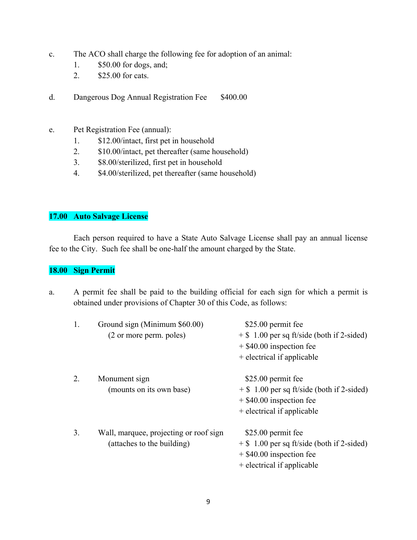- c. The ACO shall charge the following fee for adoption of an animal:
	- 1. \$50.00 for dogs, and;
	- 2. \$25.00 for cats.
- d. Dangerous Dog Annual Registration Fee \$400.00
- e. Pet Registration Fee (annual):
	- 1. \$12.00/intact, first pet in household
	- 2. \$10.00/intact, pet thereafter (same household)
	- 3. \$8.00/sterilized, first pet in household
	- 4. \$4.00/sterilized, pet thereafter (same household)

### **17.00 Auto Salvage License**

 Each person required to have a State Auto Salvage License shall pay an annual license fee to the City. Such fee shall be one-half the amount charged by the State.

### **18.00 Sign Permit**

a. A permit fee shall be paid to the building official for each sign for which a permit is obtained under provisions of Chapter 30 of this Code, as follows:

| 1. | Ground sign (Minimum \$60.00)<br>(2 or more perm. poles)             | \$25.00 permit fee<br>$+$ \$ 1.00 per sq ft/side (both if 2-sided)<br>$+$ \$40.00 inspection fee<br>+ electrical if applicable |
|----|----------------------------------------------------------------------|--------------------------------------------------------------------------------------------------------------------------------|
| 2. | Monument sign<br>(mounts on its own base)                            | \$25.00 permit fee<br>$+$ \$ 1.00 per sq ft/side (both if 2-sided)<br>$+$ \$40.00 inspection fee<br>+ electrical if applicable |
| 3. | Wall, marquee, projecting or roof sign<br>(attaches to the building) | \$25.00 permit fee<br>$+$ \$ 1.00 per sq ft/side (both if 2-sided)<br>$+$ \$40.00 inspection fee<br>+ electrical if applicable |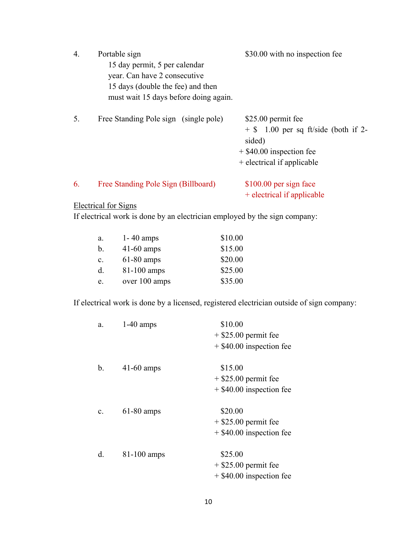| 4. | Portable sign<br>15 day permit, 5 per calendar<br>year. Can have 2 consecutive<br>15 days (double the fee) and then<br>must wait 15 days before doing again. | \$30.00 with no inspection fee                                                                                                     |
|----|--------------------------------------------------------------------------------------------------------------------------------------------------------------|------------------------------------------------------------------------------------------------------------------------------------|
| 5. | Free Standing Pole sign (single pole)                                                                                                                        | \$25.00 permit fee<br>$+$ \$ 1.00 per sq ft/side (both if 2-<br>sided)<br>$+$ \$40.00 inspection fee<br>+ electrical if applicable |
| 6. | Free Standing Pole Sign (Billboard)                                                                                                                          | \$100.00 per sign face<br>+ electrical if applicable                                                                               |
|    | <b>Electrical for Signs</b>                                                                                                                                  |                                                                                                                                    |

If electrical work is done by an electrician employed by the sign company:

| a.             | $1 - 40$ amps | \$10.00 |
|----------------|---------------|---------|
| $\mathbf{b}$ . | $41-60$ amps  | \$15.00 |
| $\mathbf{c}$ . | $61-80$ amps  | \$20.00 |
| d.             | $81-100$ amps | \$25.00 |
| e.             | over 100 amps | \$35.00 |

If electrical work is done by a licensed, registered electrician outside of sign company:

| a.             | $1-40$ amps   | \$10.00                    |
|----------------|---------------|----------------------------|
|                |               | $+$ \$25.00 permit fee     |
|                |               | $+$ \$40.00 inspection fee |
| b.             | $41-60$ amps  | \$15.00                    |
|                |               | $+$ \$25.00 permit fee     |
|                |               | $+$ \$40.00 inspection fee |
| $\mathbf{c}$ . | $61-80$ amps  | \$20.00                    |
|                |               | $+$ \$25.00 permit fee     |
|                |               | $+$ \$40.00 inspection fee |
| d.             | $81-100$ amps | \$25.00                    |
|                |               | $+$ \$25.00 permit fee     |
|                |               | $+$ \$40.00 inspection fee |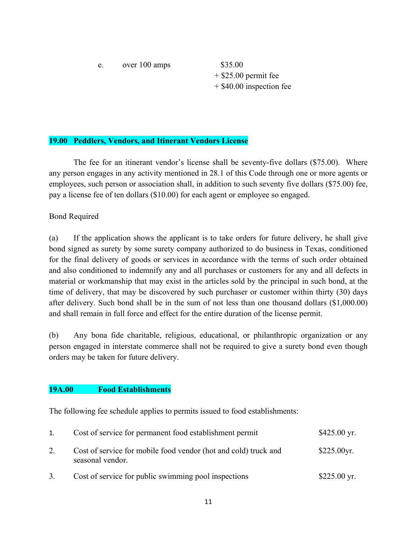e. over 100 amps \$35.00

 $+$  \$25.00 permit fee + \$40.00 inspection fee

### **19.00 Peddlers, Vendors, and Itinerant Vendors License**

 The fee for an itinerant vendor's license shall be seventy-five dollars (\$75.00). Where any person engages in any activity mentioned in 28.1 of this Code through one or more agents or employees, such person or association shall, in addition to such seventy five dollars (\$75.00) fee, pay a license fee of ten dollars (\$10.00) for each agent or employee so engaged.

### Bond Required

(a) If the application shows the applicant is to take orders for future delivery, he shall give bond signed as surety by some surety company authorized to do business in Texas, conditioned for the final delivery of goods or services in accordance with the terms of such order obtained and also conditioned to indemnify any and all purchases or customers for any and all defects in material or workmanship that may exist in the articles sold by the principal in such bond, at the time of delivery, that may be discovered by such purchaser or customer within thirty (30) days after delivery. Such bond shall be in the sum of not less than one thousand dollars (\$1,000.00) and shall remain in full force and effect for the entire duration of the license permit.

(b) Any bona fide charitable, religious, educational, or philanthropic organization or any person engaged in interstate commerce shall not be required to give a surety bond even though orders may be taken for future delivery.

### **19A.00 Food Establishments**

The following fee schedule applies to permits issued to food establishments:

| 1. | Cost of service for permanent food establishment permit                             | $$425.00$ yr.         |
|----|-------------------------------------------------------------------------------------|-----------------------|
|    | Cost of service for mobile food vendor (hot and cold) truck and<br>seasonal vendor. | \$225.00yr.           |
|    | Cost of service for public swimming pool inspections                                | $$225.00 \text{ yr}.$ |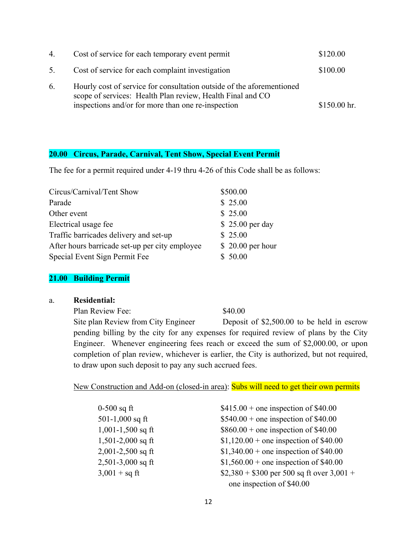| 4. | Cost of service for each temporary event permit                                                                                                                                           | \$120.00      |
|----|-------------------------------------------------------------------------------------------------------------------------------------------------------------------------------------------|---------------|
| 5. | Cost of service for each complaint investigation                                                                                                                                          | \$100.00      |
| 6. | Hourly cost of service for consultation outside of the aforementioned<br>scope of services: Health Plan review, Health Final and CO<br>inspections and/or for more than one re-inspection | $$150.00$ hr. |

### **20.00 Circus, Parade, Carnival, Tent Show, Special Event Permit**

The fee for a permit required under 4-19 thru 4-26 of this Code shall be as follows:

| Circus/Carnival/Tent Show                      | \$500.00          |
|------------------------------------------------|-------------------|
| Parade                                         | \$25.00           |
| Other event                                    | \$25.00           |
| Electrical usage fee                           | \$25.00 per day   |
| Traffic barricades delivery and set-up         | \$25.00           |
| After hours barricade set-up per city employee | $$20.00$ per hour |
| Special Event Sign Permit Fee                  | \$50.00           |

### **21.00 Building Permit**

a. **Residential:** 

Plan Review Fee: \$40.00 Site plan Review from City Engineer Deposit of \$2,500.00 to be held in escrow pending billing by the city for any expenses for required review of plans by the City Engineer. Whenever engineering fees reach or exceed the sum of \$2,000.00, or upon completion of plan review, whichever is earlier, the City is authorized, but not required, to draw upon such deposit to pay any such accrued fees.

New Construction and Add-on (closed-in area): **Subs will need to get their own permits** 

| $0-500$ sq ft           | $$415.00 +$ one inspection of \$40.00      |
|-------------------------|--------------------------------------------|
| 501-1,000 sq ft         | $$540.00 +$ one inspection of \$40.00      |
| $1,001-1,500$ sq ft     | $$860.00 +$ one inspection of \$40.00      |
| $1,501-2,000$ sq ft     | $$1,120.00 +$ one inspection of \$40.00    |
| $2,001-2,500$ sq ft     | $$1,340.00 +$ one inspection of \$40.00    |
| $2,501-3,000$ sq ft     | $$1,560.00 +$ one inspection of \$40.00    |
| $3,001 + sq \text{ ft}$ | $$2,380 + $300$ per 500 sq ft over 3,001 + |
|                         | one inspection of \$40.00                  |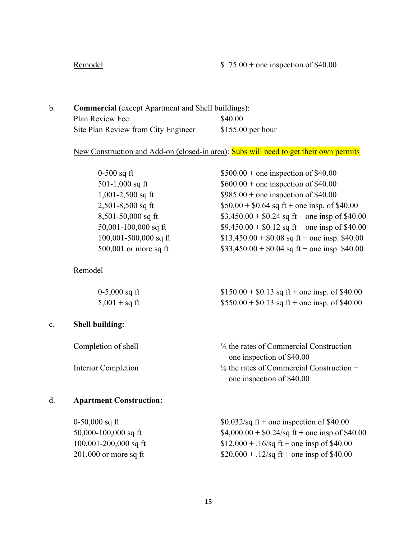# Remodel  $$ 75.00 + one inspection of $40.00$

b. **Commercial** (except Apartment and Shell buildings): Plan Review Fee: \$40.00 Site Plan Review from City Engineer \$155.00 per hour

# New Construction and Add-on (closed-in area): Subs will need to get their own permits

| $0-500$ sq ft             | $$500.00 +$ one inspection of \$40.00           |
|---------------------------|-------------------------------------------------|
| 501-1,000 sq ft           | $$600.00 +$ one inspection of \$40.00           |
| $1,001-2,500$ sq ft       | $$985.00 +$ one inspection of \$40.00           |
| $2,501-8,500$ sq ft       | $$50.00 + $0.64$ sq ft + one insp. of \$40.00   |
| $8,501-50,000$ sq ft      | $$3,450.00 + $0.24$ sq ft + one insp of \$40.00 |
| $50,001 - 100,000$ sq ft  | $$9,450.00 + $0.12$ sq ft + one insp of \$40.00 |
| $100,001 - 500,000$ sq ft | $$13,450.00 + $0.08$ sq ft + one insp. \$40.00  |
| $500,001$ or more sq ft   | $$33,450.00 + $0.04$ sq ft + one insp. \$40.00  |
|                           |                                                 |

# Remodel

| $0-5,000$ sq ft | $$150.00 + $0.13$ sq ft + one insp. of \$40.00 |
|-----------------|------------------------------------------------|
| $5,001 + sq$ ft | $$550.00 + $0.13$ sq ft + one insp. of \$40.00 |

# c. **Shell building:**

| Completion of shell | $\frac{1}{2}$ the rates of Commercial Construction + |
|---------------------|------------------------------------------------------|
|                     | one inspection of \$40.00                            |
| Interior Completion | $\frac{1}{2}$ the rates of Commercial Construction + |
|                     | one inspection of \$40.00                            |

# d. **Apartment Construction:**

| $0-50,000$ sq ft         | $$0.032$ /sq ft + one inspection of \$40.00                  |
|--------------------------|--------------------------------------------------------------|
| $50,000 - 100,000$ sq ft | $$4,000.00 + $0.24/\text{sq ft} + \text{one insp of $40.00}$ |
| $100,001-200,000$ sq ft  | $$12,000 + .16$ /sq ft + one insp of \$40.00                 |
| $201,000$ or more sq ft  | $$20,000 + .12$ /sq ft + one insp of \$40.00                 |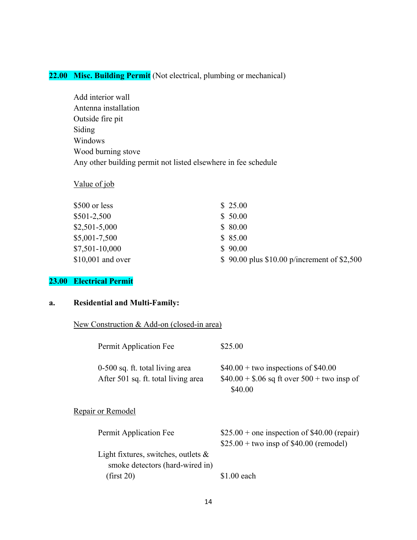# **22.00 Misc. Building Permit** (Not electrical, plumbing or mechanical)

 Add interior wall Antenna installation Outside fire pit Siding Windows Wood burning stove Any other building permit not listed elsewhere in fee schedule

### Value of job

| \$500 or less     | \$25.00                                       |
|-------------------|-----------------------------------------------|
| \$501-2,500       | \$50.00                                       |
| $$2,501-5,000$    | \$80.00                                       |
| \$5,001-7,500     | \$85.00                                       |
| \$7,501-10,000    | \$90.00                                       |
| \$10,001 and over | \$ 90.00 plus $$10.00$ p/increment of \$2,500 |

# **23.00 Electrical Permit**

### **a. Residential and Multi-Family:**

New Construction & Add-on (closed-in area)

| Permit Application Fee                                                    | \$25.00                                                                                            |
|---------------------------------------------------------------------------|----------------------------------------------------------------------------------------------------|
| 0-500 sq. ft. total living area<br>After 501 sq. ft. total living area    | $$40.00 + two$ inspections of \$40.00<br>$$40.00 + $.06$ sq ft over $500 +$ two insp of<br>\$40.00 |
| Repair or Remodel                                                         |                                                                                                    |
| Permit Application Fee                                                    | $$25.00 +$ one inspection of \$40.00 (repair)<br>$$25.00 + two$ insp of \$40.00 (remodel)          |
| Light fixtures, switches, outlets $\&$<br>smoke detectors (hard-wired in) |                                                                                                    |
| (first 20)                                                                | \$1.00 each                                                                                        |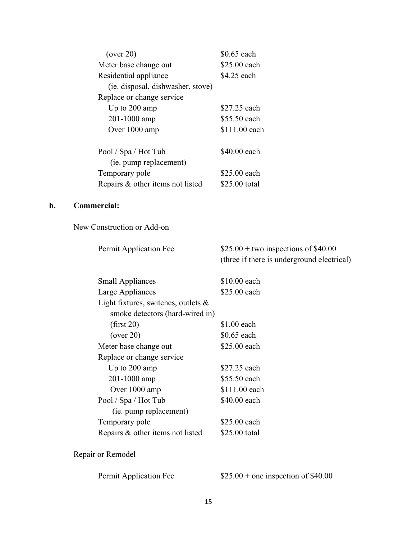| (over 20)                         | \$0.65 each   |
|-----------------------------------|---------------|
| Meter base change out             | \$25.00 each  |
| Residential appliance             | \$4.25 each   |
| (ie. disposal, dishwasher, stove) |               |
| Replace or change service         |               |
| Up to $200 \text{ amp}$           | \$27.25 each  |
| 201-1000 amp                      | \$55.50 each  |
| Over 1000 amp                     | \$111.00 each |
| Pool / Spa / Hot Tub              | \$40.00 each  |
| (ie. pump replacement)            |               |
| Temporary pole                    | \$25.00 each  |
| Repairs & other items not listed  | \$25.00 total |

# **b. Commercial:**

# New Construction or Add-on

| Permit Application Fee                 | $$25.00 + two inspections of $40.00$<br>(three if there is underground electrical) |
|----------------------------------------|------------------------------------------------------------------------------------|
| <b>Small Appliances</b>                | \$10.00 each                                                                       |
| Large Appliances                       | \$25.00 each                                                                       |
| Light fixtures, switches, outlets $\&$ |                                                                                    |
| smoke detectors (hard-wired in)        |                                                                                    |
| (first 20)                             | $$1.00$ each                                                                       |
| (over 20)                              | \$0.65 each                                                                        |
| Meter base change out                  | \$25.00 each                                                                       |
| Replace or change service              |                                                                                    |
| Up to $200 \text{ amp}$                | \$27.25 each                                                                       |
| 201-1000 amp                           | \$55.50 each                                                                       |
| Over 1000 amp                          | \$111.00 each                                                                      |
| Pool / Spa / Hot Tub                   | \$40.00 each                                                                       |
| (ie. pump replacement)                 |                                                                                    |
| Temporary pole                         | \$25.00 each                                                                       |
| Repairs & other items not listed       | \$25.00 total                                                                      |
|                                        |                                                                                    |

# Repair or Remodel

Permit Application Fee  $$25.00 + one inspection of $40.00$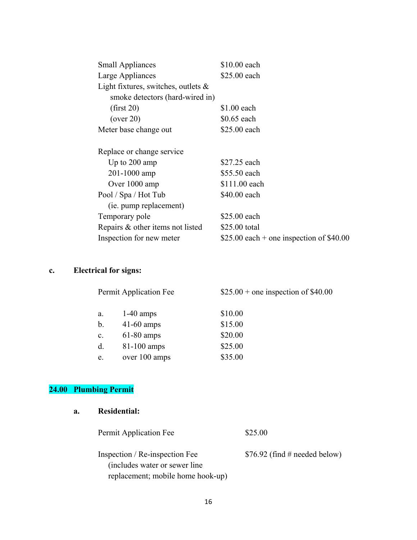| <b>Small Appliances</b>                | \$10.00 each                              |
|----------------------------------------|-------------------------------------------|
| Large Appliances                       | \$25.00 each                              |
| Light fixtures, switches, outlets $\&$ |                                           |
| smoke detectors (hard-wired in)        |                                           |
| (first 20)                             | $$1.00$ each                              |
| (over 20)                              | $$0.65$ each                              |
| Meter base change out                  | \$25.00 each                              |
| Replace or change service              |                                           |
| Up to $200 \text{ amp}$                | \$27.25 each                              |
| 201-1000 amp                           | \$55.50 each                              |
| Over 1000 amp                          | \$111.00 each                             |
| Pool / Spa / Hot Tub                   | \$40.00 each                              |
| (ie. pump replacement)                 |                                           |
| Temporary pole                         | \$25.00 each                              |
| Repairs & other items not listed       | \$25.00 total                             |
| Inspection for new meter               | \$25.00 each + one inspection of $$40.00$ |
|                                        |                                           |

# **c. Electrical for signs:**

| Permit Application Fee |               | $$25.00 +$ one inspection of \$40.00 |  |
|------------------------|---------------|--------------------------------------|--|
| a.                     | $1-40$ amps   | \$10.00                              |  |
| b.                     | $41-60$ amps  | \$15.00                              |  |
| $\mathbf{c}$ .         | $61-80$ amps  | \$20.00                              |  |
| d.                     | $81-100$ amps | \$25.00                              |  |
| e.                     | over 100 amps | \$35.00                              |  |

# **24.00 Plumbing Permit**

# **a. Residential:**

| Permit Application Fee                                           | \$25.00                        |
|------------------------------------------------------------------|--------------------------------|
| Inspection / Re-inspection Fee<br>(includes water or sewer line) | $$76.92$ (find # needed below) |
| replacement; mobile home hook-up)                                |                                |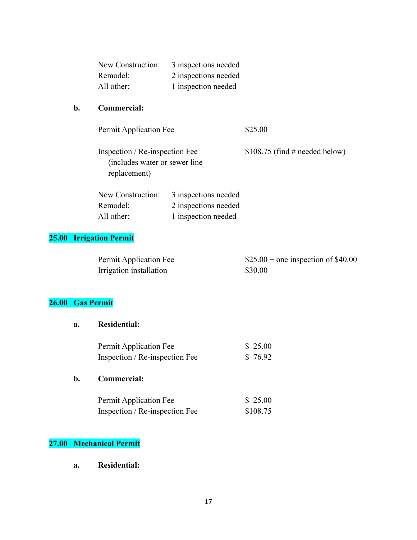| New Construction: | 3 inspections needed |
|-------------------|----------------------|
| Remodel:          | 2 inspections needed |
| All other:        | 1 inspection needed  |

### **b. Commercial:**

Permit Application Fee \$25.00

Inspection / Re-inspection Fee \$108.75 (find # needed below) (includes water or sewer line replacement)

| New Construction: | 3 inspections needed |
|-------------------|----------------------|
| Remodel:          | 2 inspections needed |
| All other:        | 1 inspection needed  |

# **25.00 Irrigation Permit**

| Permit Application Fee  | $$25.00 +$ one inspection of \$40.00 |
|-------------------------|--------------------------------------|
| Irrigation installation | \$30.00                              |

# **26.00 Gas Permit**

### **a. Residential:**

| Permit Application Fee         | \$25.00 |
|--------------------------------|---------|
| Inspection / Re-inspection Fee | \$76.92 |

# **b. Commercial:**

| Permit Application Fee         | \$25.00  |
|--------------------------------|----------|
| Inspection / Re-inspection Fee | \$108.75 |

## **27.00 Mechanical Permit**

 **a. Residential:**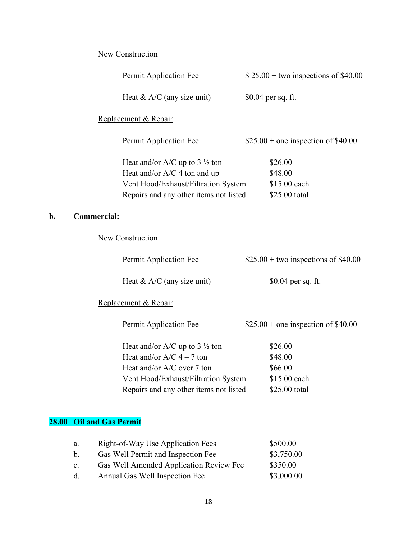# **New Construction**

|    |                    | Permit Application Fee                   | $$25.00 + two inspections of $40.00$ |
|----|--------------------|------------------------------------------|--------------------------------------|
|    |                    | Heat & $A/C$ (any size unit)             | $$0.04$ per sq. ft.                  |
|    |                    | Replacement & Repair                     |                                      |
|    |                    | Permit Application Fee                   | $$25.00 +$ one inspection of \$40.00 |
|    |                    | Heat and/or A/C up to $3\frac{1}{2}$ ton | \$26.00                              |
|    |                    | Heat and/or $A/C$ 4 ton and up           | \$48.00                              |
|    |                    | Vent Hood/Exhaust/Filtration System      | \$15.00 each                         |
|    |                    | Repairs and any other items not listed   | \$25.00 total                        |
| b. | <b>Commercial:</b> |                                          |                                      |

# **New Construction**

| Permit Application Fee |                              | $$25.00 + two inspections of $40.00$ |  |
|------------------------|------------------------------|--------------------------------------|--|
|                        | Heat $& A/C$ (any size unit) | $$0.04$ per sq. ft.                  |  |

# Replacement & Repair

| Permit Application Fee                   | $$25.00 +$ one inspection of \$40.00 |
|------------------------------------------|--------------------------------------|
| Heat and/or A/C up to $3\frac{1}{2}$ ton | \$26.00                              |

| Heat and/or $A/C$ 4 – 7 ton            | \$48.00       |
|----------------------------------------|---------------|
| Heat and/or $A/C$ over 7 ton           | \$66.00       |
| Vent Hood/Exhaust/Filtration System    | \$15.00 each  |
| Repairs and any other items not listed | \$25.00 total |

# **28.00 Oil and Gas Permit**

| a.             | Right-of-Way Use Application Fees       | \$500.00   |
|----------------|-----------------------------------------|------------|
| h.             | Gas Well Permit and Inspection Fee      | \$3,750.00 |
| $\mathbf{c}$ . | Gas Well Amended Application Review Fee | \$350.00   |
| $d_{-}$        | Annual Gas Well Inspection Fee          | \$3,000.00 |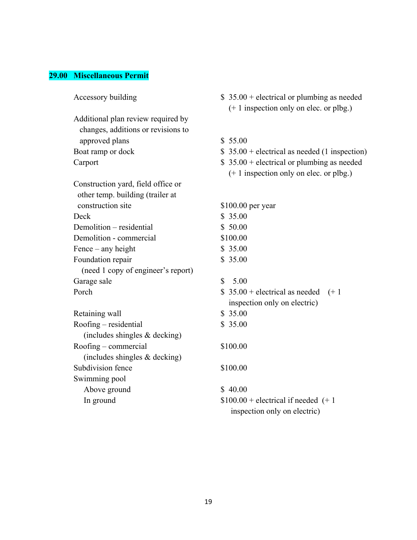### **29.00 Miscellaneous Permit**

 Additional plan review required by changes, additions or revisions to approved plans \$ 55.00

 Construction yard, field office or other temp. building (trailer at construction site \$100.00 per year Deck \$ 35.00 Demolition – residential \$ 50.00 Demolition - commercial \$100.00 Fence – any height  $\$$  35.00 Foundation repair \$ 35.00 (need 1 copy of engineer's report) Garage sale \$ 5.00 Porch  $$35.00 + electrical as needed (+1)$ 

Retaining wall \$ 35.00 Roofing – residential \$ 35.00 (includes shingles & decking) Roofing – commercial \$100.00 (includes shingles & decking) Subdivision fence \$100.00 Swimming pool Above ground \$ 40.00

- Accessory building  $$ 35.00 + electrical or plumbing as needed$  (+ 1 inspection only on elec. or plbg.)
	-
- Boat ramp or dock  $$ 35.00 + electrical$  as needed (1 inspection)
- Carport  $$ 35.00 + electrical or plumbing as needed$ (+ 1 inspection only on elec. or plbg.)

inspection only on electric)

In ground  $$100.00 + electrical if needed (+ 1)$ inspection only on electric)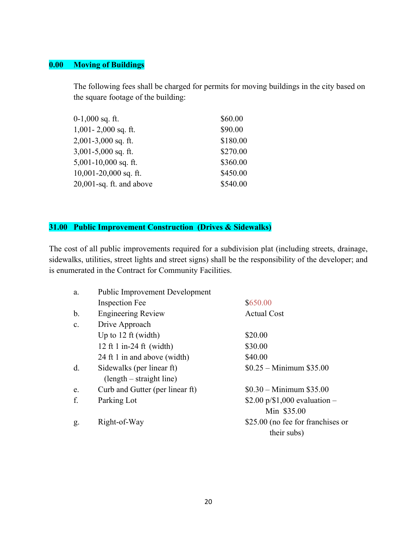# **0.00 Moving of Buildings**

The following fees shall be charged for permits for moving buildings in the city based on the square footage of the building:

| $0-1,000$ sq. ft.           | \$60.00  |
|-----------------------------|----------|
| $1,001 - 2,000$ sq. ft.     | \$90.00  |
| $2,001-3,000$ sq. ft.       | \$180.00 |
| $3,001-5,000$ sq. ft.       | \$270.00 |
| $5,001-10,000$ sq. ft.      | \$360.00 |
| $10,001-20,000$ sq. ft.     | \$450.00 |
| $20,001$ -sq. ft. and above | \$540.00 |

# **31.00 Public Improvement Construction (Drives & Sidewalks)**

The cost of all public improvements required for a subdivision plat (including streets, drainage, sidewalks, utilities, street lights and street signs) shall be the responsibility of the developer; and is enumerated in the Contract for Community Facilities.

| a.             | <b>Public Improvement Development</b>                   |                                                  |
|----------------|---------------------------------------------------------|--------------------------------------------------|
|                | <b>Inspection Fee</b>                                   | \$650.00                                         |
| b.             | <b>Engineering Review</b>                               | <b>Actual Cost</b>                               |
| C <sub>1</sub> | Drive Approach                                          |                                                  |
|                | Up to 12 ft (width)                                     | \$20.00                                          |
|                | 12 ft 1 in-24 ft (width)                                | \$30.00                                          |
|                | 24 ft 1 in and above (width)                            | \$40.00                                          |
| d.             | Sidewalks (per linear ft)<br>$(length - straight line)$ | $$0.25 - Minimum $35.00$                         |
| e.             | Curb and Gutter (per linear ft)                         | $$0.30 - Minimum $35.00$                         |
| f.             | Parking Lot                                             | \$2.00 $p$ /\$1,000 evaluation –<br>Min \$35.00  |
| g.             | Right-of-Way                                            | \$25.00 (no fee for franchises or<br>their subs) |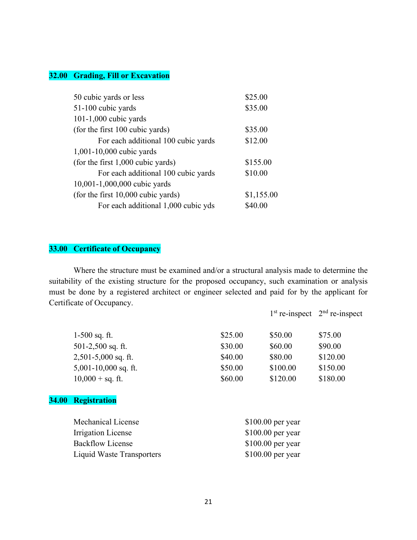### **32.00 Grading, Fill or Excavation**

| 50 cubic yards or less              | \$25.00    |
|-------------------------------------|------------|
| 51-100 cubic yards                  | \$35.00    |
| $101-1,000$ cubic yards             |            |
| (for the first 100 cubic yards)     | \$35.00    |
| For each additional 100 cubic yards | \$12.00    |
| 1,001-10,000 cubic yards            |            |
| (for the first 1,000 cubic yards)   | \$155.00   |
| For each additional 100 cubic yards | \$10.00    |
| 10,001-1,000,000 cubic yards        |            |
| (for the first 10,000 cubic yards)  | \$1,155.00 |
| For each additional 1,000 cubic yds | \$40.00    |

# **33.00 Certificate of Occupancy**

 Where the structure must be examined and/or a structural analysis made to determine the suitability of the existing structure for the proposed occupancy, such examination or analysis must be done by a registered architect or engineer selected and paid for by the applicant for Certificate of Occupancy.

|                    |                         |                    |                    | $1st$ re-inspect $2nd$ re-inspect |
|--------------------|-------------------------|--------------------|--------------------|-----------------------------------|
|                    | $1-500$ sq. ft.         | \$25.00            | \$50.00            | \$75.00                           |
|                    | 501-2,500 sq. ft.       | \$30.00            | \$60.00            | \$90.00                           |
|                    | $2,501-5,000$ sq. ft.   | \$40.00            | \$80.00            | \$120.00                          |
|                    | $5,001-10,000$ sq. ft.  | \$50.00            | \$100.00           | \$150.00                          |
|                    | $10,000 + sq.$ ft.      | \$60.00            | \$120.00           | \$180.00                          |
| <b>34.00</b>       | <b>Registration</b>     |                    |                    |                                   |
| Mechanical License |                         |                    | $$100.00$ per year |                                   |
|                    | Irrigation License      | $$100.00$ per year |                    |                                   |
|                    | <b>Backflow License</b> |                    | \$100.00 per year  |                                   |

Liquid Waste Transporters \$100.00 per year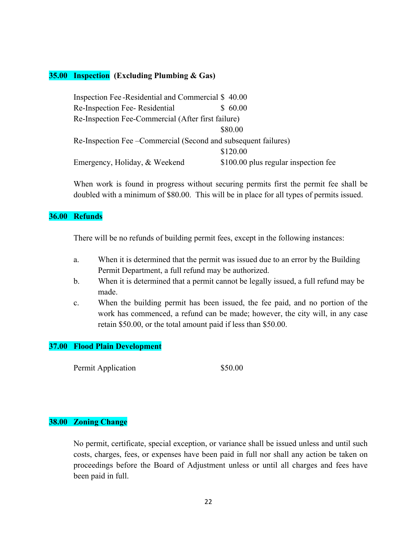### **35.00 Inspection (Excluding Plumbing & Gas)**

|                                                                 | Inspection Fee-Residential and Commercial \$40.00  |                                      |  |
|-----------------------------------------------------------------|----------------------------------------------------|--------------------------------------|--|
| Re-Inspection Fee-Residential                                   |                                                    | \$60.00                              |  |
|                                                                 | Re-Inspection Fee-Commercial (After first failure) |                                      |  |
|                                                                 |                                                    | \$80.00                              |  |
| Re-Inspection Fee – Commercial (Second and subsequent failures) |                                                    |                                      |  |
|                                                                 |                                                    | \$120.00                             |  |
| Emergency, Holiday, & Weekend                                   |                                                    | \$100.00 plus regular inspection fee |  |

When work is found in progress without securing permits first the permit fee shall be doubled with a minimum of \$80.00. This will be in place for all types of permits issued.

### **36.00 Refunds**

There will be no refunds of building permit fees, except in the following instances:

- a. When it is determined that the permit was issued due to an error by the Building Permit Department, a full refund may be authorized.
- b. When it is determined that a permit cannot be legally issued, a full refund may be made.
- c. When the building permit has been issued, the fee paid, and no portion of the work has commenced, a refund can be made; however, the city will, in any case retain \$50.00, or the total amount paid if less than \$50.00.

### **37.00 Flood Plain Development**

Permit Application  $$50.00$ 

### **38.00 Zoning Change**

No permit, certificate, special exception, or variance shall be issued unless and until such costs, charges, fees, or expenses have been paid in full nor shall any action be taken on proceedings before the Board of Adjustment unless or until all charges and fees have been paid in full.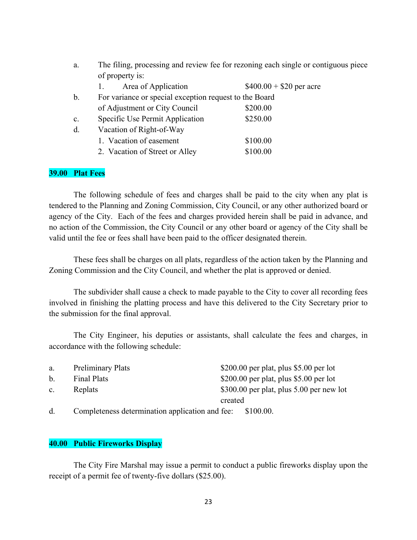| a.            | The filing, processing and review fee for rezoning each single or contiguous piece |                          |
|---------------|------------------------------------------------------------------------------------|--------------------------|
|               | of property is:                                                                    |                          |
|               | Area of Application                                                                | $$400.00 + $20$ per acre |
| $\mathbf b$ . | For variance or special exception request to the Board                             |                          |
|               | of Adjustment or City Council                                                      | \$200.00                 |
| c.            | Specific Use Permit Application                                                    | \$250.00                 |
| d.            | Vacation of Right-of-Way                                                           |                          |
|               | 1. Vacation of easement                                                            | \$100.00                 |
|               | 2. Vacation of Street or Alley                                                     | \$100.00                 |

### **39.00 Plat Fees**

 The following schedule of fees and charges shall be paid to the city when any plat is tendered to the Planning and Zoning Commission, City Council, or any other authorized board or agency of the City. Each of the fees and charges provided herein shall be paid in advance, and no action of the Commission, the City Council or any other board or agency of the City shall be valid until the fee or fees shall have been paid to the officer designated therein.

 These fees shall be charges on all plats, regardless of the action taken by the Planning and Zoning Commission and the City Council, and whether the plat is approved or denied.

 The subdivider shall cause a check to made payable to the City to cover all recording fees involved in finishing the platting process and have this delivered to the City Secretary prior to the submission for the final approval.

 The City Engineer, his deputies or assistants, shall calculate the fees and charges, in accordance with the following schedule:

| a.          | <b>Preliminary Plats</b> | \$200.00 per plat, plus \$5.00 per lot     |
|-------------|--------------------------|--------------------------------------------|
| $b_{-}$     | Final Plats              | \$200.00 per plat, plus \$5.00 per lot     |
| $c_{\cdot}$ | Replats                  | \$300.00 per plat, plus $5.00$ per new lot |
|             |                          | created                                    |

d. Completeness determination application and fee: \$100.00.

### **40.00 Public Fireworks Display**

 The City Fire Marshal may issue a permit to conduct a public fireworks display upon the receipt of a permit fee of twenty-five dollars (\$25.00).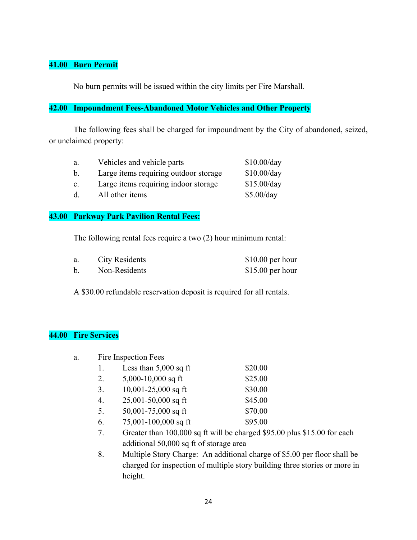# **41.00 Burn Permit**

No burn permits will be issued within the city limits per Fire Marshall.

### **42.00 Impoundment Fees-Abandoned Motor Vehicles and Other Property**

 The following fees shall be charged for impoundment by the City of abandoned, seized, or unclaimed property:

| a.             | Vehicles and vehicle parts            | \$10.00/day |
|----------------|---------------------------------------|-------------|
|                | Large items requiring outdoor storage | \$10.00/day |
| $\mathbf{c}$ . | Large items requiring indoor storage  | \$15.00/day |
|                | All other items                       | \$5.00/day  |

### **43.00 Parkway Park Pavilion Rental Fees:**

The following rental fees require a two (2) hour minimum rental:

| City Residents | $$10.00$ per hour |
|----------------|-------------------|
| Non-Residents  | $$15.00$ per hour |

A \$30.00 refundable reservation deposit is required for all rentals.

# **44.00 Fire Services**

| a. | Fire Inspection Fees |                                         |                                                                          |
|----|----------------------|-----------------------------------------|--------------------------------------------------------------------------|
|    | 1.                   | Less than $5,000$ sq ft                 | \$20.00                                                                  |
|    | 2.                   | 5,000-10,000 sq ft                      | \$25.00                                                                  |
|    | 3.                   | $10,001-25,000$ sq ft                   | \$30.00                                                                  |
|    | 4.                   | $25,001-50,000$ sq ft                   | \$45.00                                                                  |
|    | 5.                   | 50,001-75,000 sq ft                     | \$70.00                                                                  |
|    | 6.                   | $75,001 - 100,000$ sq ft                | \$95.00                                                                  |
|    | 7.                   |                                         | Greater than 100,000 sq ft will be charged \$95.00 plus \$15.00 for each |
|    |                      | additional 50,000 sq ft of storage area |                                                                          |

 8. Multiple Story Charge: An additional charge of \$5.00 per floor shall be charged for inspection of multiple story building three stories or more in height.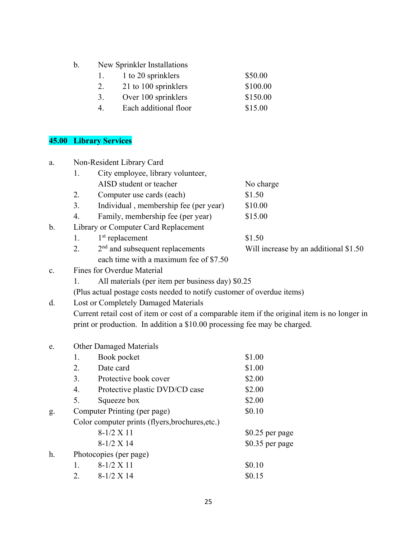b. New Sprinkler Installations

|  | 1 to 20 sprinklers | \$50.00 |
|--|--------------------|---------|
|--|--------------------|---------|

- 2. 21 to 100 sprinklers \$100.00
- 3. Over 100 sprinklers \$150.00
- 4. Each additional floor \$15.00

# **45.00 Library Services**

| Non-Resident Library Card<br>a. |                  |                                                                                               |                                       |
|---------------------------------|------------------|-----------------------------------------------------------------------------------------------|---------------------------------------|
|                                 | Ι.               | City employee, library volunteer,                                                             |                                       |
|                                 |                  | AISD student or teacher                                                                       | No charge                             |
|                                 | 2.               | Computer use cards (each)                                                                     | \$1.50                                |
|                                 | 3.               | Individual, membership fee (per year)                                                         | \$10.00                               |
|                                 | $\overline{4}$ . | Family, membership fee (per year)                                                             | \$15.00                               |
| $\mathbf b$ .                   |                  | Library or Computer Card Replacement                                                          |                                       |
|                                 | 1.               | $1st$ replacement                                                                             | \$1.50                                |
|                                 | 2.               | 2 <sup>nd</sup> and subsequent replacements                                                   | Will increase by an additional \$1.50 |
|                                 |                  | each time with a maximum fee of \$7.50                                                        |                                       |
| $\mathbf{c}$ .                  |                  | Fines for Overdue Material                                                                    |                                       |
|                                 | 1.               | All materials (per item per business day) \$0.25                                              |                                       |
|                                 |                  | (Plus actual postage costs needed to notify customer of overdue items)                        |                                       |
| d.                              |                  | Lost or Completely Damaged Materials                                                          |                                       |
|                                 |                  | Current retail cost of item or cost of a comparable item if the original item is no longer in |                                       |
|                                 |                  | print or production. In addition a \$10.00 processing fee may be charged.                     |                                       |
|                                 |                  |                                                                                               |                                       |
| e.                              |                  | <b>Other Damaged Materials</b>                                                                |                                       |
|                                 | 1.               | Book pocket                                                                                   | \$1.00                                |
|                                 | 2.               | Date card                                                                                     | \$1.00                                |
|                                 | 3.               | Protective book cover                                                                         | \$2.00                                |
|                                 | 4.               | Protective plastic DVD/CD case                                                                | \$2.00                                |
|                                 | 5.               | Squeeze box                                                                                   | \$2.00                                |
| g.                              |                  | Computer Printing (per page)                                                                  | \$0.10                                |
|                                 |                  | Color computer prints (flyers, brochures, etc.)                                               |                                       |
|                                 |                  | $8-1/2 X 11$                                                                                  | $$0.25$ per page                      |
|                                 |                  | $8-1/2 X14$                                                                                   | \$0.35 per page                       |
| h.                              |                  | Photocopies (per page)                                                                        |                                       |
|                                 | 1.               | $8-1/2 X 11$                                                                                  | \$0.10                                |
|                                 | 2.               | 8-1/2 X 14                                                                                    | \$0.15                                |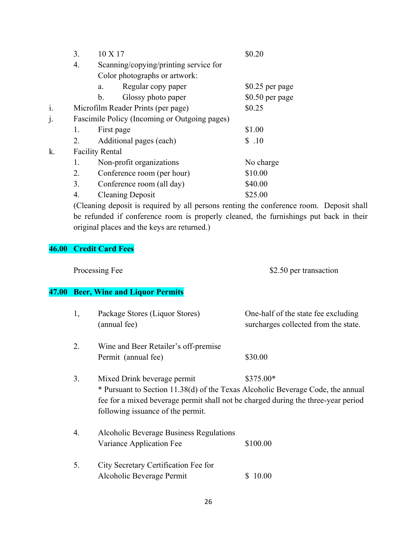|    | 3. | 10 X 17                                       | \$0.20          |  |
|----|----|-----------------------------------------------|-----------------|--|
|    | 4. | Scanning/copying/printing service for         |                 |  |
|    |    | Color photographs or artwork:                 |                 |  |
|    |    | Regular copy paper<br>a.                      | \$0.25 per page |  |
|    |    | Glossy photo paper<br>$\mathbf{b}$ .          | \$0.50 per page |  |
| i. |    | Microfilm Reader Prints (per page)            | \$0.25          |  |
|    |    | Fascimile Policy (Incoming or Outgoing pages) |                 |  |
|    | 1. | First page                                    | \$1.00          |  |
|    | 2. | Additional pages (each)                       | \$.10           |  |
| k. |    | <b>Facility Rental</b>                        |                 |  |
|    | 1. | Non-profit organizations                      | No charge       |  |
|    | 2. | Conference room (per hour)                    | \$10.00         |  |
|    | 3. | Conference room (all day)                     | \$40.00         |  |
|    | 4. | <b>Cleaning Deposit</b>                       | \$25.00         |  |

(Cleaning deposit is required by all persons renting the conference room. Deposit shall be refunded if conference room is properly cleaned, the furnishings put back in their original places and the keys are returned.)

# **46.00 Credit Card Fees**

Processing Fee \$2.50 per transaction

# **47.00 Beer, Wine and Liquor Permits**

| 1, | Package Stores (Liquor Stores)<br>(annual fee)                                                                                                                                                                                           | One-half of the state fee excluding<br>surcharges collected from the state. |
|----|------------------------------------------------------------------------------------------------------------------------------------------------------------------------------------------------------------------------------------------|-----------------------------------------------------------------------------|
| 2. | Wine and Beer Retailer's off-premise                                                                                                                                                                                                     |                                                                             |
|    | Permit (annual fee)                                                                                                                                                                                                                      | \$30.00                                                                     |
| 3. | Mixed Drink beverage permit<br>* Pursuant to Section 11.38(d) of the Texas Alcoholic Beverage Code, the annual<br>fee for a mixed beverage permit shall not be charged during the three-year period<br>following issuance of the permit. | $$375.00*$                                                                  |
| 4. | Alcoholic Beverage Business Regulations<br>Variance Application Fee                                                                                                                                                                      | \$100.00                                                                    |
| 5. | City Secretary Certification Fee for<br>Alcoholic Beverage Permit                                                                                                                                                                        | 10.00                                                                       |